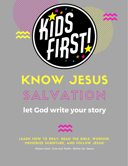

#### **let God write your story** SALVATION KNOW JESUS



LEARN HOW TO PRAY, READ THE BIBLE, WORSHIP, MEMORIZE SCRIPTURE, AND FOLLOW JESUS!

Know God- Live out Faith- Shine for Jesus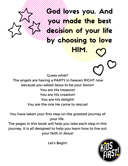God/Yoves you. And you made the best decision of your life by choosing to love

HIM.

Guess what?

The angels are having a PARTY in heaven RIGHT now because you asked Jesus to be your Savior! You are His treasure! You are His creation! You are His delight! You are the one He came to rescue!

You have taken your first step on the greatest journey of your life.

The pages in this book will help you take each step in this journey. It is all designed to help you learn how to live out your faith in Jesus!

Let's Begin!

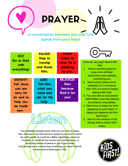#### PRAYER A

A conversation between you and God Speak from your heart

| GO!<br>Go to God<br>with<br>everything! | <b>PAUSE!</b><br><b>Stop to</b><br>worship<br>and thank<br>Him. | <b>STOP!</b><br>Listen to<br>what He is<br>speaking<br>to you. |
|-----------------------------------------|-----------------------------------------------------------------|----------------------------------------------------------------|
| <b>REPENT!</b>                          | ASK!                                                            | <b>REJOICE!</b>                                                |
| Tell Jesus                              | <b>Tell Him</b>                                                 | <b>Rest</b>                                                    |
| you are                                 | what you                                                        | <b>because</b>                                                 |
| sorry for                               | need and                                                        | God is for                                                     |
| sin and to                              | ask for His                                                     | you!                                                           |
| help you                                | help.                                                           |                                                                |
| be made                                 |                                                                 |                                                                |
| new.                                    |                                                                 |                                                                |
|                                         |                                                                 |                                                                |

You probably already know that you can talk to Jesus. But...did you know He wants to speak to you too? It could be with words...it could be a Bible verse that comes to memory...it could be the words of a worship song...it could be a sense of peace or joy in your heart. God always has a unique way of letting you know that He is there and is listening to YOU.

Listen



How do we pray? Here's the key!

- 1. Have a private place to pray, one without distraction and nobody bothering you.
- 2. Don't worry about timewhether it's 1 minute or 100- this is a time to enjoy being with God.
- 3. You can talk to God about ANYTHING. Just like talking to a friend...only better.
- 4. Take time to listen for Him speaking to your heart. It helps you depend on Him and trust !
- 5. Ask for His wisdom in all things and to know Him more.

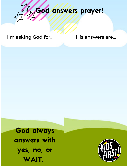

#### I'm asking God for... His answers are...

God always answers with yes, no, or WAIT.

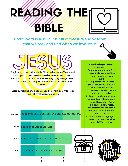#### READING THE BIBLE !



God's Word is ALIVE! It is full of treasure and wisdom that we seek and find when we love Jesus.



God's plan to rescue us and redeem us from sin. Jesus came to make us new creations! Every story always points back to Him. Reading His word helps us to know HIM more.

Start by reading the gospels! Use the chart below to keep track of what you are reading!

Matthew



Wanna dig deeper? Here's some tools!

- 1. Before you open your Bible to read, always pray, "God help me to know you more."
- 2. Begin with the Gospels (Matthew, Mark, Luke, and John) and the Psalms. Those teach us who Jesus is and how to praise.
- 3. Read to understand…you may only get through one verse! That's okay! Keep digging to know more.
- 4. If something is confusing or hard, talk to an adult who knows Jesus!
- Write down or highlight 5. verses that are special to you. His Word is alive!

| Mark        | 1234567891011 1213141516                                       |  |  |  |  |   |  |  |
|-------------|----------------------------------------------------------------|--|--|--|--|---|--|--|
| Luke        | 1 2 3 4 5 6 7 8 9 10 11 12 13 14 15 16 17 18 19 20 21 22 23 24 |  |  |  |  |   |  |  |
| <b>John</b> | 1 2 3 4 5 6 7 8 9 10 11 12 13 14 15 16 17 18 19 20 21          |  |  |  |  |   |  |  |
|             |                                                                |  |  |  |  | 2 |  |  |

1 2 3 4 5 6 7 8 9 10 11 12 13 14 15 16 17 18 19 20 21 22 23 24 25 26 27 28



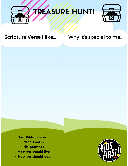



#### Scripture Verse I like... Why it's special to me...

The Bible tells us: - Who God is - His promises - How we should live - How we should act

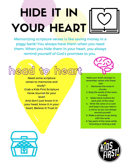## HIDE IN 1990 AND 1990 YOUR HEART

Memorizing scripture verses is like saving money in a piggy bank! You always have them when you need them. When you hide them in your heart, you always remind yourself of God's promises to you.



study? Grab a Kids First Scripture Verse Journal for your level! And don't just know it in your head, know it in your heart. Believe it! Trust it!



Make your brain stronger to remember verses with these tips!

- 1. Memorize the verse in chunks
- 2. Sing the words of the verse in a song
- Make hand motions for 3. each part of the verse
- Write the verse on a card 4. and keep it by your bed or a mirror so you can always remind yourself.
- 5. Make a picture to go along with the verse.
- 6. Say parts of the verse while throwing or kicking a ball.



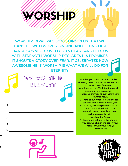# WORSHIP (1991)

WORSHIP EXPRESSES SOMETHING IN US THAT WE CAN'T DO WITH WORDS. SINGING AND LIFTING OUR HANDS CONNECTS US TO GOD'S HEART AND FILLS US WITH STRENGTH. WORSHIP DECLARES HIS PROMISES. IT SHOUTS VICTORY OVER FEAR. IT CELEBRATES HOW AWESOME HE IS. WORSHIP IS WHAT WE WILL DO FOR ETERNITY!



d

re

n ur !<br>!



1. Close your eyes and turn your heart towards Jesus. 2. Think about what He has done for you and how He has blessed you. 3. It's okay to close your eyes, raise your hands, sing loud, move around, or even be still and quiet as long as your heart is the song doesn't matter. What matters is connecting to Jesus and worshipping Him. We let out a sound declaring He is awesome!!

Whether you know the words or like

worshipping Jesus. Worship is not just in the church! 4. You can worship in the car, in your room, or with your family! ANYWHERE!



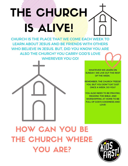# THE CHURCH CHURCH IS ALIVERS THE

CHURCH IS THE PLACE THAT WE COME EACH WEEK TO LEARN ABOUT JESUS AND BE FRIENDS WITH OTHERS WHO BELIEVE IN JESUS. BUT, DID YOU KNOW YOU ARE ALSO THE CHURCH? YOU CARRY GOD'S LOVE WHEREVER YOU GO!

WHATEVER WE LEARN ON SUNDAY, WE LIVE OUT THE REST OF THE WEEK.

REMEMBER, THE CHURCH "FEEDS" YOU, BUT YOU DON'T EAT JUST ONCE A WEEK, DO YOU?

YOU ALSO NEED TO BE PRAYING. READING THE BIBLE, AND WORSHIPPING AT HOME TO BE FULL OF GOD'S GOODNESS AND LOVE!

HOW CAN YOU BE THE CHURCH WHERE YOU ARE?

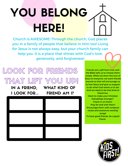## YOU BELONG HERE!

Church is AWESOME! Through the church, God places you in a family of people that believe in Him too! Living for Jesus is not always easy, but your church family can help you. It is a place that shines with God's love, generosity, and forgiveness!



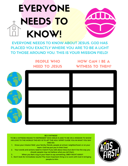

EVERYONE NEEDS TO KNOW ABOUT JESUS. GOD HAS PLACED YOU EXACTLY WHERE YOU ARE TO BE A LIGHT TO THOSE AROUND YOU. THIS IS YOUR MISSION FIELD!

> PEOPLE WHO NEED TO JESUS

HOW CAN I BE A WITNESS TO THEM?



#### BE A WITNESS!

TO BE A WITNESS MEANS TO REPRESENT WHO JESUS IS AND TO BE ON A MISSION TO SHOW HIS LOVE TO THE WORLD! THE KEY IS TO LET THE HOLY SPIRIT GUIDE YOU IN WHAT YOU SAY AND DO.

- Know your mission field- your family, friends, people at school, neighborhood, or on your team. God has put you in their lives! 1.
- Your words and actions need to match! If you talk about Jesus but don't live the way you should, people may not believe what you tell them. 2.
- When you feel a tug in your heart to say something, OBEY RIGHT AWAY! 3.

4. Don't look for immediate results! The most important thing is to work with God in bringing people to Him.